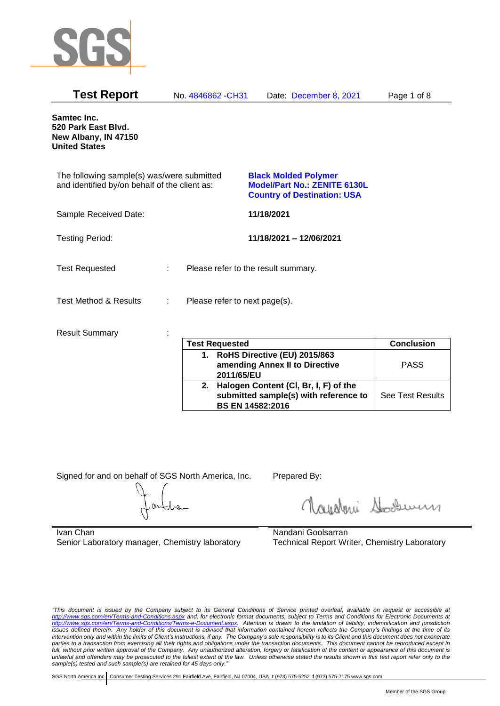

| <b>Test Report</b>                                                                          | No. 4846862 - CH31    | Date: December 8, 2021                                                                                   | Page 1 of 8       |
|---------------------------------------------------------------------------------------------|-----------------------|----------------------------------------------------------------------------------------------------------|-------------------|
| Samtec Inc.<br>520 Park East Blvd.<br>New Albany, IN 47150<br><b>United States</b>          |                       |                                                                                                          |                   |
| The following sample(s) was/were submitted<br>and identified by/on behalf of the client as: |                       | <b>Black Molded Polymer</b><br><b>Model/Part No.: ZENITE 6130L</b><br><b>Country of Destination: USA</b> |                   |
| Sample Received Date:                                                                       |                       | 11/18/2021                                                                                               |                   |
| <b>Testing Period:</b>                                                                      |                       | 11/18/2021 - 12/06/2021                                                                                  |                   |
| <b>Test Requested</b>                                                                       | ÷.                    | Please refer to the result summary.                                                                      |                   |
| <b>Test Method &amp; Results</b>                                                            | ÷                     | Please refer to next page(s).                                                                            |                   |
| <b>Result Summary</b>                                                                       | <b>Test Requested</b> |                                                                                                          | <b>Conclusion</b> |

|    | <b>Test Requested</b>                 | <b>Conclusion</b>       |
|----|---------------------------------------|-------------------------|
| 1. | RoHS Directive (EU) 2015/863          |                         |
|    | amending Annex II to Directive        | <b>PASS</b>             |
|    | 2011/65/EU                            |                         |
| 2. | Halogen Content (CI, Br, I, F) of the |                         |
|    | submitted sample(s) with reference to | <b>See Test Results</b> |
|    | BS EN 14582:2016                      |                         |

Signed for and on behalf of SGS North America, Inc. Prepared By:

Royalmi Souri

Ivan Chan Senior Laboratory manager, Chemistry laboratory Nandani Goolsarran Technical Report Writer, Chemistry Laboratory

*"This document is issued by the Company subject to its General Conditions of Service printed overleaf, available on request or accessible at <http://www.sgs.com/en/Terms-and-Conditions.aspx> and, for electronic format documents, subject to Terms and Conditions for Electronic Documents at [http://www.sgs.com/en/Terms-and-Conditions/Terms-e-Document.aspx.](http://www.sgs.com/en/Terms-and-Conditions/Terms-e-Document.aspx) Attention is drawn to the limitation of liability, indemnification and jurisdiction issues defined therein. Any holder of this document is advised that information contained hereon reflects the Company's findings at the time of its intervention only and within the limits of Client's instructions, if any. The Company's sole responsibility is to its Client and this document does not exonerate parties to a transaction from exercising all their rights and obligations under the transaction documents. This document cannot be reproduced except in full, without prior written approval of the Company. Any unauthorized alteration, forgery or falsification of the content or appearance of this document is unlawful and offenders may be prosecuted to the fullest extent of the law. Unless otherwise stated the results shown in this test report refer only to the sample(s) tested and such sample(s) are retained for 45 days only."*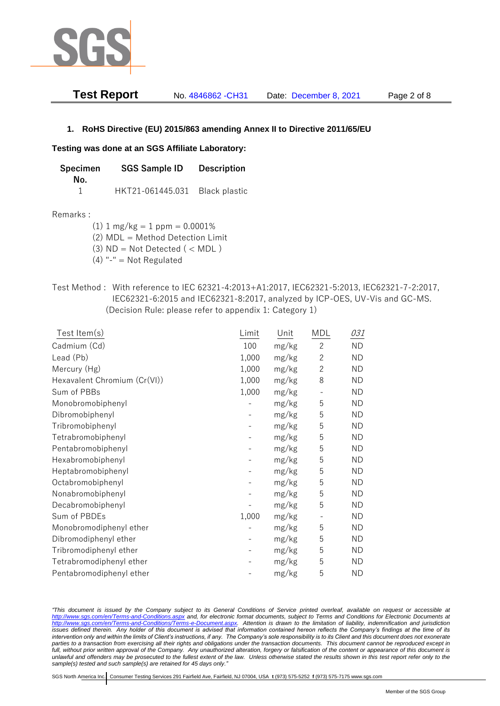

| Test Report | No. 4846862 - CH31 | Date: December 8, 2021 | Page 2 of 8 |
|-------------|--------------------|------------------------|-------------|
|-------------|--------------------|------------------------|-------------|

# **1. RoHS Directive (EU) 2015/863 amending Annex II to Directive 2011/65/EU**

## **Testing was done at an SGS Affiliate Laboratory:**

| <b>Specimen</b> | <b>SGS Sample ID</b>           | <b>Description</b> |
|-----------------|--------------------------------|--------------------|
| No.             |                                |                    |
|                 | HKT21-061445.031 Black plastic |                    |

### Remarks :

(1)  $1 \text{ mg/kg} = 1 \text{ ppm} = 0.0001\%$ 

(2) MDL = Method Detection Limit

- (3)  $ND = Not detected$  ( < MDL)
- (4) "-" = Not Regulated
- Test Method : With reference to IEC 62321-4:2013+A1:2017, IEC62321-5:2013, IEC62321-7-2:2017, IEC62321-6:2015 and IEC62321-8:2017, analyzed by ICP-OES, UV-Vis and GC-MS. (Decision Rule: please refer to appendix 1: Category 1)

| Test Item(s)                 | Limit | Unit  | <b>MDL</b>     | 031       |
|------------------------------|-------|-------|----------------|-----------|
| Cadmium (Cd)                 | 100   | mg/kg | $\mathbf{2}$   | <b>ND</b> |
| Lead (Pb)                    | 1,000 | mg/kg | $\overline{2}$ | <b>ND</b> |
| Mercury (Hg)                 | 1,000 | mg/kg | $\overline{2}$ | <b>ND</b> |
| Hexavalent Chromium (Cr(VI)) | 1,000 | mg/kg | 8              | <b>ND</b> |
| Sum of PBBs                  | 1,000 | mg/kg |                | <b>ND</b> |
| Monobromobiphenyl            |       | mg/kg | 5              | <b>ND</b> |
| Dibromobiphenyl              |       | mg/kg | 5              | <b>ND</b> |
| Tribromobiphenyl             |       | mg/kg | 5              | <b>ND</b> |
| Tetrabromobiphenyl           |       | mg/kg | 5              | <b>ND</b> |
| Pentabromobiphenyl           |       | mg/kg | 5              | <b>ND</b> |
| Hexabromobiphenyl            |       | mg/kg | 5              | <b>ND</b> |
| Heptabromobiphenyl           |       | mg/kg | 5              | <b>ND</b> |
| Octabromobiphenyl            |       | mg/kg | 5              | <b>ND</b> |
| Nonabromobiphenyl            |       | mg/kg | 5              | <b>ND</b> |
| Decabromobiphenyl            |       | mg/kg | 5              | <b>ND</b> |
| Sum of PBDEs                 | 1,000 | mg/kg |                | <b>ND</b> |
| Monobromodiphenyl ether      |       | mg/kg | 5              | <b>ND</b> |
| Dibromodiphenyl ether        |       | mg/kg | 5              | <b>ND</b> |
| Tribromodiphenyl ether       |       | mg/kg | 5              | <b>ND</b> |
| Tetrabromodiphenyl ether     |       | mg/kg | 5              | <b>ND</b> |
| Pentabromodiphenyl ether     |       | mg/kg | 5              | ND        |

*"This document is issued by the Company subject to its General Conditions of Service printed overleaf, available on request or accessible at <http://www.sgs.com/en/Terms-and-Conditions.aspx> and, for electronic format documents, subject to Terms and Conditions for Electronic Documents at [http://www.sgs.com/en/Terms-and-Conditions/Terms-e-Document.aspx.](http://www.sgs.com/en/Terms-and-Conditions/Terms-e-Document.aspx) Attention is drawn to the limitation of liability, indemnification and jurisdiction issues defined therein. Any holder of this document is advised that information contained hereon reflects the Company's findings at the time of its intervention only and within the limits of Client's instructions, if any. The Company's sole responsibility is to its Client and this document does not exonerate parties to a transaction from exercising all their rights and obligations under the transaction documents. This document cannot be reproduced except in full, without prior written approval of the Company. Any unauthorized alteration, forgery or falsification of the content or appearance of this document is unlawful and offenders may be prosecuted to the fullest extent of the law. Unless otherwise stated the results shown in this test report refer only to the sample(s) tested and such sample(s) are retained for 45 days only."*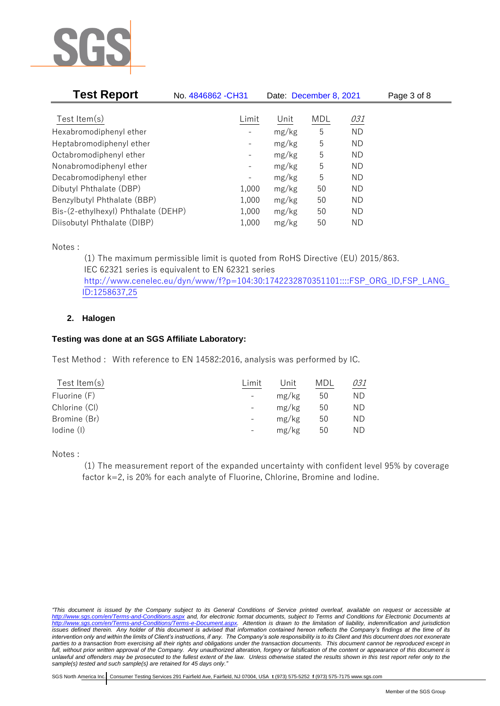

| <b>Test Report</b>                  | No. 4846862 - CH31           | Date: December 8, 2021 |     |           | Page 3 of 8 |
|-------------------------------------|------------------------------|------------------------|-----|-----------|-------------|
|                                     |                              |                        |     |           |             |
| Test Item $(s)$                     | Limit                        | Unit                   | MDL | 031       |             |
| Hexabromodiphenyl ether             |                              | mg/kg                  | 5   | <b>ND</b> |             |
| Heptabromodiphenyl ether            |                              | mg/kg                  | 5   | ND        |             |
| Octabromodiphenyl ether             | $\qquad \qquad \blacksquare$ | mg/kg                  | 5   | ND        |             |
| Nonabromodiphenyl ether             | -                            | mg/kg                  | 5   | ND        |             |
| Decabromodiphenyl ether             | -                            | mg/kg                  | 5   | ND        |             |
| Dibutyl Phthalate (DBP)             | 1,000                        | mg/kg                  | 50  | ND        |             |
| Benzylbutyl Phthalate (BBP)         | 1,000                        | mg/kg                  | 50  | ND        |             |
| Bis-(2-ethylhexyl) Phthalate (DEHP) | 1,000                        | mg/kg                  | 50  | ND        |             |
| Diisobutyl Phthalate (DIBP)         | 1,000                        | mg/kg                  | 50  | ΝD        |             |

Notes :

(1) The maximum permissible limit is quoted from RoHS Directive (EU) 2015/863. IEC 62321 series is equivalent to EN 62321 series [http://www.cenelec.eu/dyn/www/f?p=104:30:1742232870351101::::FSP\\_ORG\\_ID,FSP\\_LANG\\_](http://www.cenelec.eu/dyn/www/f?p=104:30:1742232870351101::::FSP_ORG_ID,FSP_LANG_ID:1258637,25) [ID:1258637,25](http://www.cenelec.eu/dyn/www/f?p=104:30:1742232870351101::::FSP_ORG_ID,FSP_LANG_ID:1258637,25)

# **2. Halogen**

# **Testing was done at an SGS Affiliate Laboratory:**

Test Method : With reference to EN 14582:2016, analysis was performed by IC.

| Limit                    | Unit  | MDL | 031 |
|--------------------------|-------|-----|-----|
| $\overline{\phantom{a}}$ | mg/kg | 50  | ΝD  |
| $\overline{\phantom{0}}$ | mg/kg | 50  | ND  |
| $\overline{\phantom{0}}$ | mg/kg | 50  | ND  |
| $\qquad \qquad -$        | mg/kg | 50  | ND  |
|                          |       |     |     |

Notes :

(1) The measurement report of the expanded uncertainty with confident level 95% by coverage factor k=2, is 20% for each analyte of Fluorine, Chlorine, Bromine and Iodine.

*<sup>&</sup>quot;This document is issued by the Company subject to its General Conditions of Service printed overleaf, available on request or accessible at <http://www.sgs.com/en/Terms-and-Conditions.aspx> and, for electronic format documents, subject to Terms and Conditions for Electronic Documents at [http://www.sgs.com/en/Terms-and-Conditions/Terms-e-Document.aspx.](http://www.sgs.com/en/Terms-and-Conditions/Terms-e-Document.aspx) Attention is drawn to the limitation of liability, indemnification and jurisdiction issues defined therein. Any holder of this document is advised that information contained hereon reflects the Company's findings at the time of its intervention only and within the limits of Client's instructions, if any. The Company's sole responsibility is to its Client and this document does not exonerate parties to a transaction from exercising all their rights and obligations under the transaction documents. This document cannot be reproduced except in full, without prior written approval of the Company. Any unauthorized alteration, forgery or falsification of the content or appearance of this document is unlawful and offenders may be prosecuted to the fullest extent of the law. Unless otherwise stated the results shown in this test report refer only to the sample(s) tested and such sample(s) are retained for 45 days only."*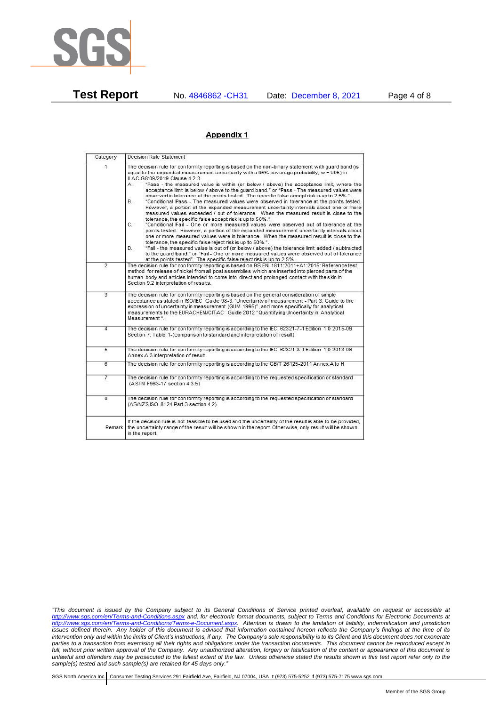

**Test Report** No. 4846862 -CH31 Date: December 8, 2021 Page 4 of 8

### Appendix 1

| Category                | Decision Rule Statement                                                                                                                                                                                                                                                                                                                                                                                                                                                                                                                                                                                                                                                                                                                                                                                                                                                                                                                                                                                                                                                                                                                                                                                                                                                                                                                                                                                                                                                                                            |
|-------------------------|--------------------------------------------------------------------------------------------------------------------------------------------------------------------------------------------------------------------------------------------------------------------------------------------------------------------------------------------------------------------------------------------------------------------------------------------------------------------------------------------------------------------------------------------------------------------------------------------------------------------------------------------------------------------------------------------------------------------------------------------------------------------------------------------------------------------------------------------------------------------------------------------------------------------------------------------------------------------------------------------------------------------------------------------------------------------------------------------------------------------------------------------------------------------------------------------------------------------------------------------------------------------------------------------------------------------------------------------------------------------------------------------------------------------------------------------------------------------------------------------------------------------|
| 4.                      | The decision rule for conformity reporting is based on the non-binary statement with quard band (is<br>equal to the expanded measurement uncertainty with a 95% coverage probability, w = U95) in<br>ILAC-G8:09/2019 Clause 4.2.3.<br>"Pass - the measured value is within (or below / above) the acceptance limit, where the<br>А.<br>acceptance limit is below / above to the quard band." or "Pass - The measured values were<br>observed in tolerance at the points tested. The specific false accept risk is up to 2.5%.".<br>В.<br>"Conditional Pass - The measured values were observed in tolerance at the points tested.<br>However, a portion of the expanded measurement uncertainty intervals about one or more<br>measured values exceeded / out of tolerance. When the measured result is close to the<br>tolerance, the specific false accept risk is up to 50%.".<br>C.<br>"Conditional Fail - One or more measured values were observed out of tolerance at the<br>points tested. However, a portion of the expanded measurement uncertainty intervals about<br>one or more measured values were in tolerance. When the measured result is close to the<br>tolerance, the specific false reject risk is up to 50%.".<br>"Fail - the measured value is out of (or below / above) the tolerance limit added / subtracted<br>D.<br>to the quard band." or "Fail - One or more measured values were observed out of tolerance<br>at the points tested". The specific false reject risk is up to 2.5%. |
| $\overline{2}$          | The decision rule for conformity reporting is based on BS EN 1811:2011+A1:2015: Reference test<br>method for release of nickel from all post assemblies which are inserted into pierced parts of the<br>human body and articles intended to come into direct and prolonged contact with the skin in<br>Section 9.2 interpretation of results.                                                                                                                                                                                                                                                                                                                                                                                                                                                                                                                                                                                                                                                                                                                                                                                                                                                                                                                                                                                                                                                                                                                                                                      |
| 3                       | The decision rule for conformity reporting is based on the general consideration of simple<br>acceptance as stated in ISO/IEC Guide 98-3: "Uncertainty of measurement - Part 3: Guide to the<br>expression of uncertainty in measurement (GUM 1995)", and more specifically for analytical<br>measurements to the EURACHEM/CITAC Guide 2012 "Quantifying Uncertainty in Analytical<br>Measurement <sup>*</sup>                                                                                                                                                                                                                                                                                                                                                                                                                                                                                                                                                                                                                                                                                                                                                                                                                                                                                                                                                                                                                                                                                                     |
| 4                       | The decision rule for conformity reporting is according to the IEC 62321-7-1 Edition 1.0 2015-09<br>Section 7: Table 1-(comparison to standard and interpretation of result)                                                                                                                                                                                                                                                                                                                                                                                                                                                                                                                                                                                                                                                                                                                                                                                                                                                                                                                                                                                                                                                                                                                                                                                                                                                                                                                                       |
| $\overline{5}$          | The decision rule for conformity reporting is according to the IEC 62321-3-1 Edition 1.0 2013-06<br>Annex A.3 interpretation of result.                                                                                                                                                                                                                                                                                                                                                                                                                                                                                                                                                                                                                                                                                                                                                                                                                                                                                                                                                                                                                                                                                                                                                                                                                                                                                                                                                                            |
| 6                       | The decision rule for conformity reporting is according to the GB/T 26125-2011 Annex A to H                                                                                                                                                                                                                                                                                                                                                                                                                                                                                                                                                                                                                                                                                                                                                                                                                                                                                                                                                                                                                                                                                                                                                                                                                                                                                                                                                                                                                        |
| 7                       | The decision rule for conformity reporting is according to the requested specification or standard<br>(ASTM F963-17 section 4.3.5)                                                                                                                                                                                                                                                                                                                                                                                                                                                                                                                                                                                                                                                                                                                                                                                                                                                                                                                                                                                                                                                                                                                                                                                                                                                                                                                                                                                 |
| $\overline{\mathbf{g}}$ | The decision rule for conformity reporting is according to the requested specification or standard<br>(AS/NZS ISO 8124 Part 3 section 4.2)                                                                                                                                                                                                                                                                                                                                                                                                                                                                                                                                                                                                                                                                                                                                                                                                                                                                                                                                                                                                                                                                                                                                                                                                                                                                                                                                                                         |
| Remark                  | If the decision rule is not feasible to be used and the uncertainty of the result is able to be provided,<br>the uncertainty range of the result will be shown in the report. Otherwise, only result will be shown<br>in the report.                                                                                                                                                                                                                                                                                                                                                                                                                                                                                                                                                                                                                                                                                                                                                                                                                                                                                                                                                                                                                                                                                                                                                                                                                                                                               |

*<sup>&</sup>quot;This document is issued by the Company subject to its General Conditions of Service printed overleaf, available on request or accessible at <http://www.sgs.com/en/Terms-and-Conditions.aspx> and, for electronic format documents, subject to Terms and Conditions for Electronic Documents at [http://www.sgs.com/en/Terms-and-Conditions/Terms-e-Document.aspx.](http://www.sgs.com/en/Terms-and-Conditions/Terms-e-Document.aspx) Attention is drawn to the limitation of liability, indemnification and jurisdiction issues defined therein. Any holder of this document is advised that information contained hereon reflects the Company's findings at the time of its intervention only and within the limits of Client's instructions, if any. The Company's sole responsibility is to its Client and this document does not exonerate parties to a transaction from exercising all their rights and obligations under the transaction documents. This document cannot be reproduced except in full, without prior written approval of the Company. Any unauthorized alteration, forgery or falsification of the content or appearance of this document is unlawful and offenders may be prosecuted to the fullest extent of the law. Unless otherwise stated the results shown in this test report refer only to the sample(s) tested and such sample(s) are retained for 45 days only."*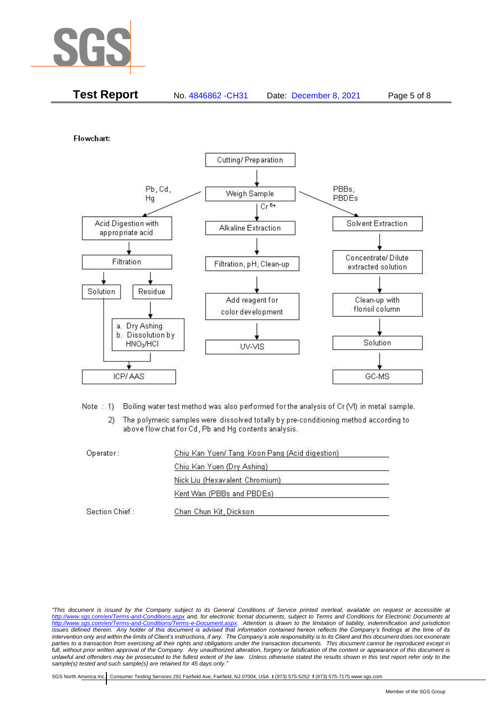

| <b>Test Report</b><br>No. 4846862 - CH31<br>Page 5 of 8<br>Date: December 8, 2021 |
|-----------------------------------------------------------------------------------|
|-----------------------------------------------------------------------------------|

Flowchart:



Note: 1) Boiling water test method was also performed for the analysis of Cr (VI) in metal sample.

The polymeric samples were dissolved totally by pre-conditioning method according to  $(2)$ above flow chat for Cd, Pb and Hg contents analysis.

| Operator:      | Chiu Kan Yuen/ Tang Koon Pang (Acid digestion) |  |
|----------------|------------------------------------------------|--|
|                | Chiu Kan Yuen (Dry Ashing)                     |  |
|                | Nick Liu (Hexavalent Chromium)                 |  |
|                | Kent Wan (PBBs and PBDEs)                      |  |
| Section Chief: | Chan Chun Kit, Dickson                         |  |

*<sup>&</sup>quot;This document is issued by the Company subject to its General Conditions of Service printed overleaf, available on request or accessible at <http://www.sgs.com/en/Terms-and-Conditions.aspx> and, for electronic format documents, subject to Terms and Conditions for Electronic Documents at [http://www.sgs.com/en/Terms-and-Conditions/Terms-e-Document.aspx.](http://www.sgs.com/en/Terms-and-Conditions/Terms-e-Document.aspx) Attention is drawn to the limitation of liability, indemnification and jurisdiction issues defined therein. Any holder of this document is advised that information contained hereon reflects the Company's findings at the time of its intervention only and within the limits of Client's instructions, if any. The Company's sole responsibility is to its Client and this document does not exonerate parties to a transaction from exercising all their rights and obligations under the transaction documents. This document cannot be reproduced except in full, without prior written approval of the Company. Any unauthorized alteration, forgery or falsification of the content or appearance of this document is unlawful and offenders may be prosecuted to the fullest extent of the law. Unless otherwise stated the results shown in this test report refer only to the sample(s) tested and such sample(s) are retained for 45 days only."*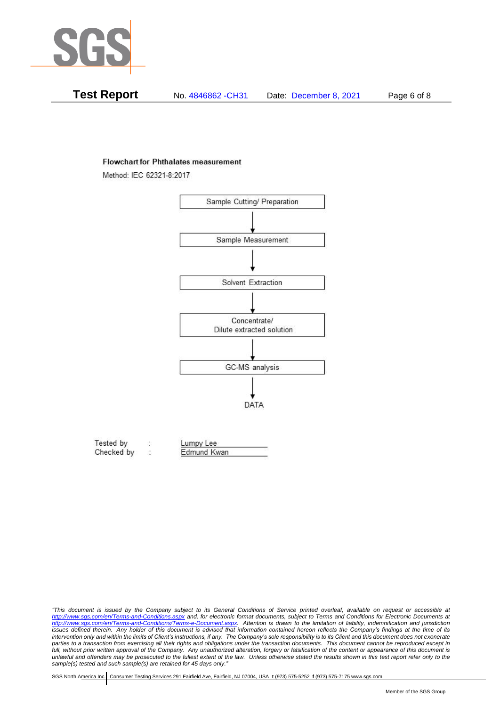

| Test Report | No. 4846862 - CH31 | Date: December 8, 2021 | Page 6 of 8 |
|-------------|--------------------|------------------------|-------------|
|-------------|--------------------|------------------------|-------------|

#### **Flowchart for Phthalates measurement**

Method: IEC 62321-8:2017



| Tested by  | Lumpy Lee   |  |
|------------|-------------|--|
| Checked by | Edmund Kwan |  |

*<sup>&</sup>quot;This document is issued by the Company subject to its General Conditions of Service printed overleaf, available on request or accessible at <http://www.sgs.com/en/Terms-and-Conditions.aspx> and, for electronic format documents, subject to Terms and Conditions for Electronic Documents at [http://www.sgs.com/en/Terms-and-Conditions/Terms-e-Document.aspx.](http://www.sgs.com/en/Terms-and-Conditions/Terms-e-Document.aspx) Attention is drawn to the limitation of liability, indemnification and jurisdiction issues defined therein. Any holder of this document is advised that information contained hereon reflects the Company's findings at the time of its intervention only and within the limits of Client's instructions, if any. The Company's sole responsibility is to its Client and this document does not exonerate*  parties to a transaction from exercising all their rights and obligations under the transaction documents. This document cannot be reproduced except in *full, without prior written approval of the Company. Any unauthorized alteration, forgery or falsification of the content or appearance of this document is unlawful and offenders may be prosecuted to the fullest extent of the law. Unless otherwise stated the results shown in this test report refer only to the sample(s) tested and such sample(s) are retained for 45 days only."*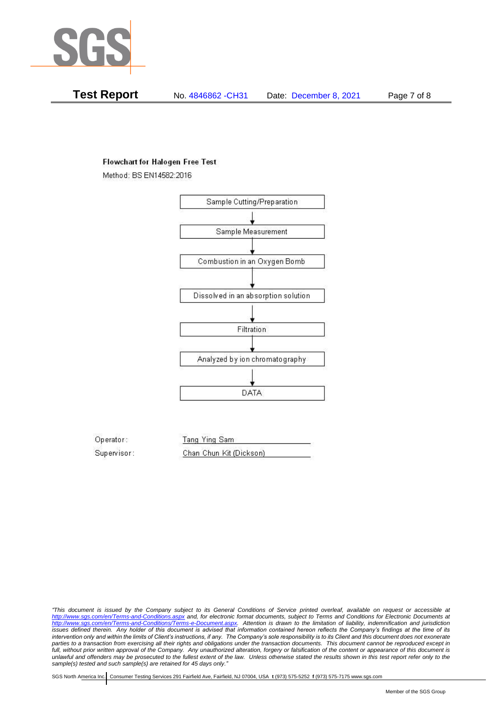

**Test Report** No. 4846862 -CH31 Date: December 8, 2021 Page 7 of 8

## **Flowchart for Halogen Free Test**

Method: BS EN14582:2016



Operator: Tang Ying Sam Supervisor: Chan Chun Kit (Dickson)

*"This document is issued by the Company subject to its General Conditions of Service printed overleaf, available on request or accessible at <http://www.sgs.com/en/Terms-and-Conditions.aspx> and, for electronic format documents, subject to Terms and Conditions for Electronic Documents at [http://www.sgs.com/en/Terms-and-Conditions/Terms-e-Document.aspx.](http://www.sgs.com/en/Terms-and-Conditions/Terms-e-Document.aspx) Attention is drawn to the limitation of liability, indemnification and jurisdiction issues defined therein. Any holder of this document is advised that information contained hereon reflects the Company's findings at the time of its intervention only and within the limits of Client's instructions, if any. The Company's sole responsibility is to its Client and this document does not exonerate parties to a transaction from exercising all their rights and obligations under the transaction documents. This document cannot be reproduced except in full, without prior written approval of the Company. Any unauthorized alteration, forgery or falsification of the content or appearance of this document is unlawful and offenders may be prosecuted to the fullest extent of the law. Unless otherwise stated the results shown in this test report refer only to the sample(s) tested and such sample(s) are retained for 45 days only."*